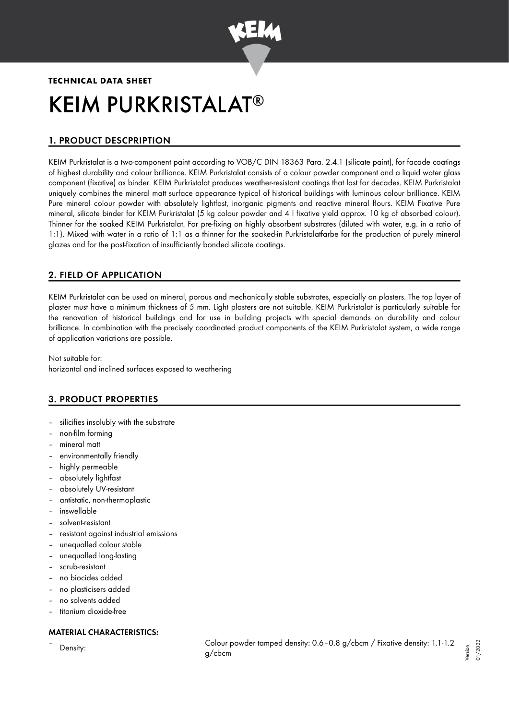

# **TECHNICAL DATA SHEET** KEIM PURKRISTALAT ®

# 1. PRODUCT DESCPRIPTION

KEIM Purkristalat is a two-component paint according to VOB/C DIN 18363 Para. 2.4.1 (silicate paint), for facade coatings of highest durability and colour brilliance. KEIM Purkristalat consists of a colour powder component and a liquid water glass component (fixative) as binder. KEIM Purkristalat produces weather-resistant coatings that last for decades. KEIM Purkristalat uniquely combines the mineral matt surface appearance typical of historical buildings with luminous colour brilliance. KEIM Pure mineral colour powder with absolutely lightfast, inorganic pigments and reactive mineral flours. KEIM Fixative Pure mineral, silicate binder for KEIM Purkristalat (5 kg colour powder and 4 l fixative yield approx. 10 kg of absorbed colour). Thinner for the soaked KEIM Purkristalat. For pre-fixing on highly absorbent substrates (diluted with water, e.g. in a ratio of 1:1). Mixed with water in a ratio of 1:1 as a thinner for the soaked-in Purkristalatfarbe for the production of purely mineral glazes and for the post-fixation of insufficiently bonded silicate coatings.

# 2. FIELD OF APPLICATION

KEIM Purkristalat can be used on mineral, porous and mechanically stable substrates, especially on plasters. The top layer of plaster must have a minimum thickness of 5 mm. Light plasters are not suitable. KEIM Purkristalat is particularly suitable for the renovation of historical buildings and for use in building projects with special demands on durability and colour brilliance. In combination with the precisely coordinated product components of the KEIM Purkristalat system, a wide range of application variations are possible.

Not suitable for: horizontal and inclined surfaces exposed to weathering

# 3. PRODUCT PROPERTIES

- silicifies insolubly with the substrate
- non-film forming
- mineral matt
- environmentally friendly
- highly permeable
- absolutely lightfast
- absolutely UV-resistant
- antistatic, non-thermoplastic
- inswellable
- solvent-resistant
- resistant against industrial emissions
- unequalled colour stable
- unequalled long-lasting
- scrub-resistant
- no biocides added
- no plasticisers added
- no solvents added
- titanium dioxide-free

# MATERIAL CHARACTERISTICS:

– Density: Colour powder tamped density: 0.6–0.8 g/cbcm / Fixative density: 1.1-1.2 g/cbcm Version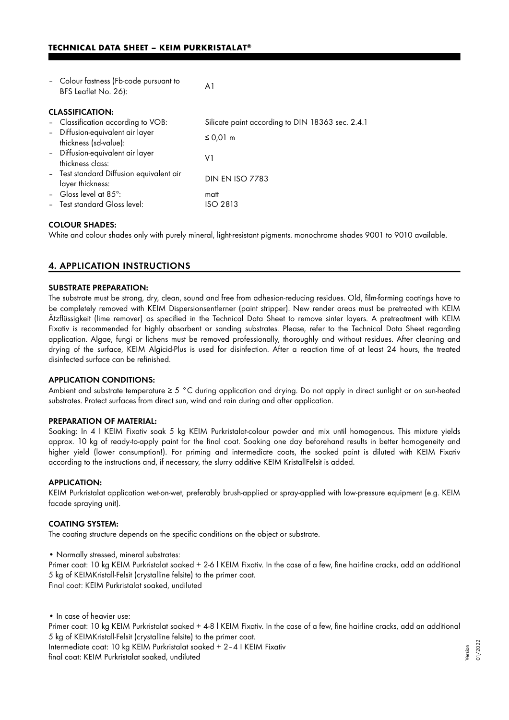## **TECHNICAL DATA SHEET – KEIM PURKRISTALAT®**

|                        | - Colour fastness (Fb-code pursuant to<br>BFS Leaflet No. 26): | A1                                               |  |  |
|------------------------|----------------------------------------------------------------|--------------------------------------------------|--|--|
| <b>CLASSIFICATION:</b> |                                                                |                                                  |  |  |
|                        | - Classification according to VOB:                             | Silicate paint according to DIN 18363 sec. 2.4.1 |  |  |
|                        | - Diffusion-equivalent air layer<br>thickness (sd-value):      | ≤ 0,01 m                                         |  |  |
|                        | - Diffusion-equivalent air layer<br>thickness class:           | V1                                               |  |  |
|                        | - Test standard Diffusion equivalent air<br>layer thickness:   | <b>DIN EN ISO 7783</b>                           |  |  |
|                        | - Gloss level at $85^\circ$ :                                  | matt                                             |  |  |
|                        | - Test standard Gloss level:                                   | ISO 2813                                         |  |  |

## COLOUR SHADES:

White and colour shades only with purely mineral, light-resistant pigments. monochrome shades 9001 to 9010 available.

# 4. APPLICATION INSTRUCTIONS

## SUBSTRATE PREPARATION:

The substrate must be strong, dry, clean, sound and free from adhesion-reducing residues. Old, film-forming coatings have to be completely removed with KEIM Dispersionsentferner (paint stripper). New render areas must be pretreated with KEIM Ätzflüssigkeit (lime remover) as specified in the Technical Data Sheet to remove sinter layers. A pretreatment with KEIM Fixativ is recommended for highly absorbent or sanding substrates. Please, refer to the Technical Data Sheet regarding application. Algae, fungi or lichens must be removed professionally, thoroughly and without residues. After cleaning and drying of the surface, KEIM Algicid-Plus is used for disinfection. After a reaction time of at least 24 hours, the treated disinfected surface can be refinished.

## APPLICATION CONDITIONS:

Ambient and substrate temperature ≥ 5 °C during application and drying. Do not apply in direct sunlight or on sun-heated substrates. Protect surfaces from direct sun, wind and rain during and after application.

#### PREPARATION OF MATERIAL:

Soaking: In 4 l KEIM Fixativ soak 5 kg KEIM Purkristalat-colour powder and mix until homogenous. This mixture yields approx. 10 kg of ready-to-apply paint for the final coat. Soaking one day beforehand results in better homogeneity and higher yield (lower consumption!). For priming and intermediate coats, the soaked paint is diluted with KEIM Fixativ according to the instructions and, if necessary, the slurry additive KEIM KristallFelsit is added.

#### APPLICATION:

KEIM Purkristalat application wet-on-wet, preferably brush-applied or spray-applied with low-pressure equipment (e.g. KEIM facade spraying unit).

## COATING SYSTEM:

The coating structure depends on the specific conditions on the object or substrate.

• Normally stressed, mineral substrates:

Primer coat: 10 kg KEIM Purkristalat soaked + 2-6 | KEIM Fixativ. In the case of a few, fine hairline cracks, add an additional 5 kg of KEIMKristall-Felsit (crystalline felsite) to the primer coat. Final coat: KEIM Purkristalat soaked, undiluted

• In case of heavier use:

Primer coat: 10 kg KEIM Purkristalat soaked + 4-8 l KEIM Fixativ. In the case of a few, fine hairline cracks, add an additional 5 kg of KEIMKristall-Felsit (crystalline felsite) to the primer coat.

Intermediate coat: 10 kg KEIM Purkristalat soaked + 2–4 I KEIM Fixativ final coat: KEIM Purkristalat soaked, undiluted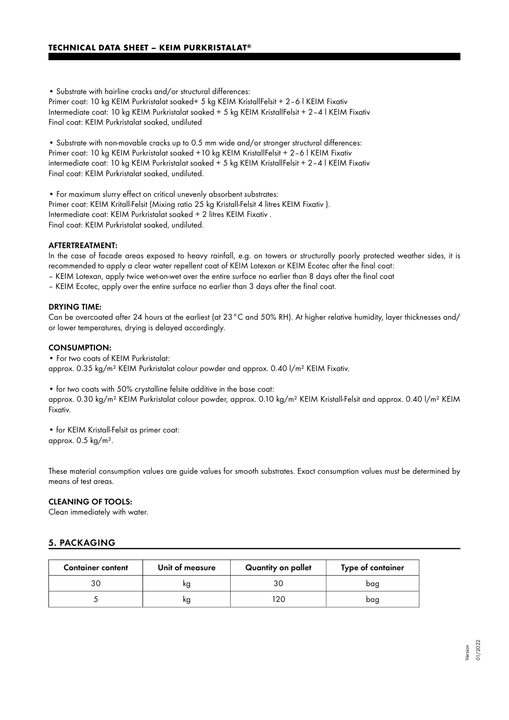• Substrate with hairline cracks and/or structural differences:

Primer coat: 10 kg KEIM Purkristalat soaked+ 5 kg KEIM KristallFelsit + 2-6 | KEIM Fixativ Intermediate coat: 10 kg KEIM Purkristalat soaked + 5 kg KEIM KristallFelsit + 2–4 l KEIM Fixativ Final coat: KEIM Purkristalat soaked, undiluted

• Substrate with non-movable cracks up to 0.5 mm wide and/or stronger structural differences: Primer coat: 10 kg KEIM Purkristalat soaked +10 kg KEIM KristallFelsit + 2–6 l KEIM Fixativ intermediate coat: 10 kg KEIM Purkristalat soaked + 5 kg KEIM KristallFelsit + 2–4 l KEIM Fixativ Final coat: KEIM Purkristalat soaked, undiluted.

• For maximum slurry effect on critical unevenly absorbent substrates: Primer coat: KEIM Kritall-Felsit (Mixing ratio 25 kg Kristall-Felsit 4 litres KEIM Fixativ ). Intermediate coat: KEIM Purkristalat soaked + 2 litres KEIM Fixativ . Final coat: KEIM Purkristalat soaked, undiluted.

## AFTERTREATMENT:

In the case of facade areas exposed to heavy rainfall, e.g. on towers or structurally poorly protected weather sides, it is recommended to apply a clear water repellent coat of KEIM Lotexan or KEIM Ecotec after the final coat:

- KEIM Lotexan, apply twice wet-on-wet over the entire surface no earlier than 8 days after the final coat
- KEIM Ecotec, apply over the entire surface no earlier than 3 days after the final coat.

## DRYING TIME:

Can be overcoated after 24 hours at the earliest (at 23°C and 50% RH). At higher relative humidity, layer thicknesses and/ or lower temperatures, drying is delayed accordingly.

#### CONSUMPTION:

• For two coats of KEIM Purkristalat: approx. 0.35 kg/m² KEIM Purkristalat colour powder and approx. 0.40 l/m² KEIM Fixativ.

• for two coats with 50% crystalline felsite additive in the base coat:

approx. 0.30 kg/m² KEIM Purkristalat colour powder, approx. 0.10 kg/m² KEIM Kristall-Felsit and approx. 0.40 l/m² KEIM Fixativ.

• for KEIM Kristall-Felsit as primer coat: approx. 0.5 kg/m².

These material consumption values are guide values for smooth substrates. Exact consumption values must be determined by means of test areas.

## CLEANING OF TOOLS:

Clean immediately with water.

# 5. PACKAGING

| <b>Container content</b> | Unit of measure | Quantity on pallet | Type of container |
|--------------------------|-----------------|--------------------|-------------------|
|                          | ĸg              |                    | bag               |
|                          | ĸg              | 7۲                 | bag               |